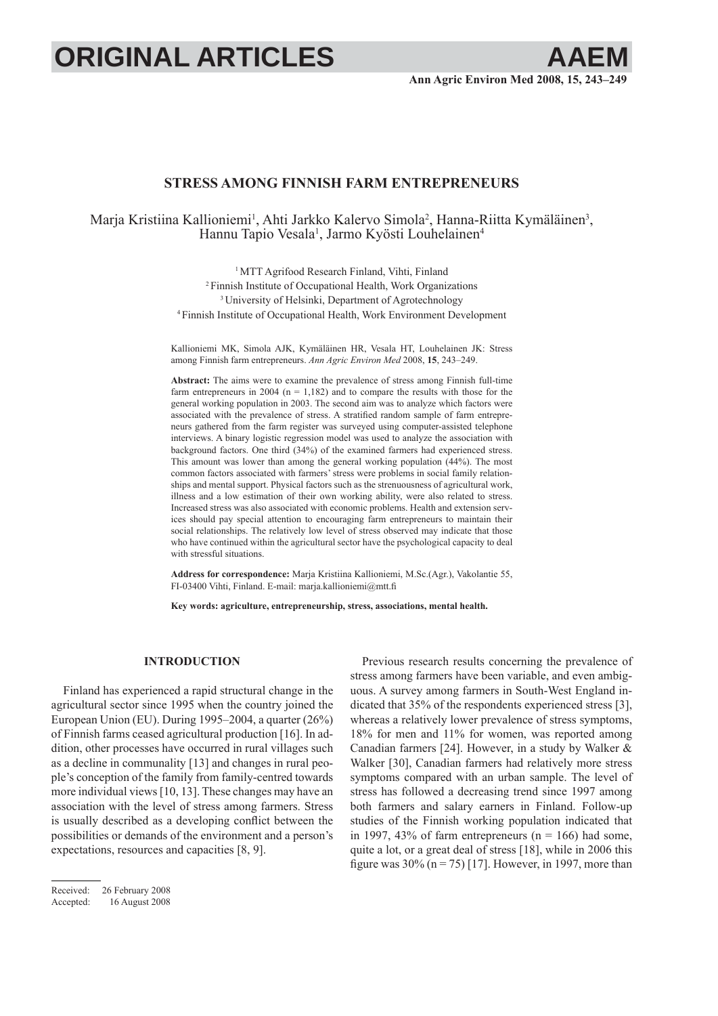# **ORIGINAL ARTICLES**

# **STRESS AMONG FINNISH FARM ENTREPRENEURS**

Marja Kristiina Kallioniemi<sup>1</sup>, Ahti Jarkko Kalervo Simola<sup>2</sup>, Hanna-Riitta Kymäläinen<sup>3</sup>, Hannu Tapio Vesala<sup>1</sup>, Jarmo Kyösti Louhelainen<sup>4</sup>

> <sup>1</sup>MTT Agrifood Research Finland, Vihti, Finland 2 Finnish Institute of Occupational Health, Work Organizations 3 University of Helsinki, Department of Agrotechnology 4 Finnish Institute of Occupational Health, Work Environment Development

Kallioniemi MK, Simola AJK, Kymäläinen HR, Vesala HT, Louhelainen JK: Stress among Finnish farm entrepreneurs. *Ann Agric Environ Med* 2008, **15**, 243–249.

**Abstract:** The aims were to examine the prevalence of stress among Finnish full-time farm entrepreneurs in 2004 ( $n = 1,182$ ) and to compare the results with those for the general working population in 2003. The second aim was to analyze which factors were associated with the prevalence of stress. A stratified random sample of farm entrepreneurs gathered from the farm register was surveyed using computer-assisted telephone interviews. A binary logistic regression model was used to analyze the association with background factors. One third (34%) of the examined farmers had experienced stress. This amount was lower than among the general working population (44%). The most common factors associated with farmers' stress were problems in social family relationships and mental support. Physical factors such as the strenuousness of agricultural work, illness and a low estimation of their own working ability, were also related to stress. Increased stress was also associated with economic problems. Health and extension services should pay special attention to encouraging farm entrepreneurs to maintain their social relationships. The relatively low level of stress observed may indicate that those who have continued within the agricultural sector have the psychological capacity to deal with stressful situations.

**Address for correspondence:** Marja Kristiina Kallioniemi, M.Sc.(Agr.), Vakolantie 55, FI-03400 Vihti, Finland. E-mail: marja.kallioniemi@mtt.fi

**Key words: agriculture, entrepreneurship, stress, associations, mental health.**

### **INTRODUCTION**

Finland has experienced a rapid structural change in the agricultural sector since 1995 when the country joined the European Union (EU). During 1995–2004, a quarter (26%) of Finnish farms ceased agricultural production [16]. In addition, other processes have occurred in rural villages such as a decline in communality [13] and changes in rural people's conception of the family from family-centred towards more individual views [10, 13]. These changes may have an association with the level of stress among farmers. Stress is usually described as a developing conflict between the possibilities or demands of the environment and a person's expectations, resources and capacities [8, 9].

Previous research results concerning the prevalence of stress among farmers have been variable, and even ambiguous. A survey among farmers in South-West England indicated that 35% of the respondents experienced stress [3], whereas a relatively lower prevalence of stress symptoms, 18% for men and 11% for women, was reported among Canadian farmers [24]. However, in a study by Walker & Walker [30], Canadian farmers had relatively more stress symptoms compared with an urban sample. The level of stress has followed a decreasing trend since 1997 among both farmers and salary earners in Finland. Follow-up studies of the Finnish working population indicated that in 1997, 43% of farm entrepreneurs ( $n = 166$ ) had some, quite a lot, or a great deal of stress [18], while in 2006 this figure was  $30\%$  (n = 75) [17]. However, in 1997, more than

Received: 26 February 2008 Accepted: 16 August 2008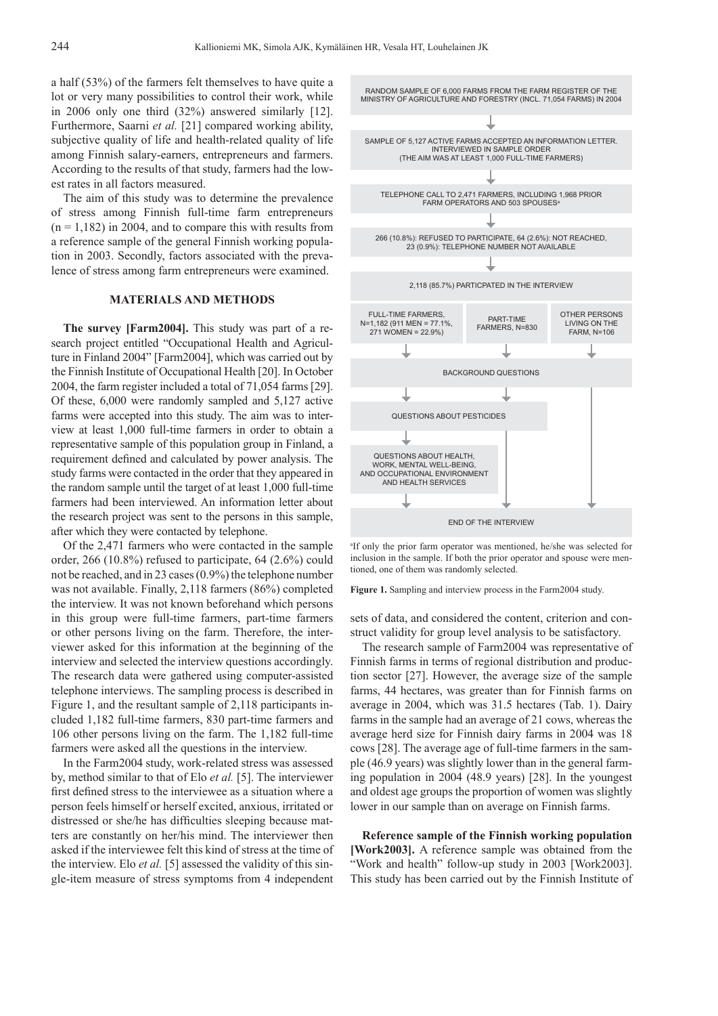a half (53%) of the farmers felt themselves to have quite a lot or very many possibilities to control their work, while in 2006 only one third (32%) answered similarly [12]. Furthermore, Saarni *et al.* [21] compared working ability, subjective quality of life and health-related quality of life among Finnish salary-earners, entrepreneurs and farmers. According to the results of that study, farmers had the lowest rates in all factors measured.

The aim of this study was to determine the prevalence of stress among Finnish full-time farm entrepreneurs  $(n = 1.182)$  in 2004, and to compare this with results from a reference sample of the general Finnish working population in 2003. Secondly, factors associated with the prevalence of stress among farm entrepreneurs were examined.

## **MATERIALS AND METHODS**

**The survey [Farm2004].** This study was part of a research project entitled "Occupational Health and Agriculture in Finland 2004" [Farm2004], which was carried out by the Finnish Institute of Occupational Health [20]. In October 2004, the farm register included a total of 71,054 farms [29]. Of these, 6,000 were randomly sampled and 5,127 active farms were accepted into this study. The aim was to interview at least 1,000 full-time farmers in order to obtain a representative sample of this population group in Finland, a requirement defined and calculated by power analysis. The study farms were contacted in the order that they appeared in the random sample until the target of at least 1,000 full-time farmers had been interviewed. An information letter about the research project was sent to the persons in this sample, after which they were contacted by telephone.

Of the 2,471 farmers who were contacted in the sample order, 266 (10.8%) refused to participate, 64 (2.6%) could not be reached, and in 23 cases (0.9%) the telephone number was not available. Finally, 2,118 farmers (86%) completed the interview. It was not known beforehand which persons in this group were full-time farmers, part-time farmers or other persons living on the farm. Therefore, the interviewer asked for this information at the beginning of the interview and selected the interview questions accordingly. The research data were gathered using computer-assisted telephone interviews. The sampling process is described in Figure 1, and the resultant sample of 2,118 participants included 1,182 full-time farmers, 830 part-time farmers and 106 other persons living on the farm. The 1,182 full-time farmers were asked all the questions in the interview.

In the Farm2004 study, work-related stress was assessed by, method similar to that of Elo *et al.* [5]. The interviewer first defined stress to the interviewee as a situation where a person feels himself or herself excited, anxious, irritated or distressed or she/he has difficulties sleeping because matters are constantly on her/his mind. The interviewer then asked if the interviewee felt this kind of stress at the time of the interview. Elo *et al.* [5] assessed the validity of this single-item measure of stress symptoms from 4 independent



a If only the prior farm operator was mentioned, he/she was selected for inclusion in the sample. If both the prior operator and spouse were mentioned, one of them was randomly selected.

**Figure 1.** Sampling and interview process in the Farm2004 study.

sets of data, and considered the content, criterion and construct validity for group level analysis to be satisfactory.

The research sample of Farm2004 was representative of Finnish farms in terms of regional distribution and production sector [27]. However, the average size of the sample farms, 44 hectares, was greater than for Finnish farms on average in 2004, which was 31.5 hectares (Tab. 1). Dairy farms in the sample had an average of 21 cows, whereas the average herd size for Finnish dairy farms in 2004 was 18 cows [28]. The average age of full-time farmers in the sample (46.9 years) was slightly lower than in the general farming population in 2004 (48.9 years) [28]. In the youngest and oldest age groups the proportion of women was slightly lower in our sample than on average on Finnish farms.

**Reference sample of the Finnish working population [Work2003].** A reference sample was obtained from the "Work and health" follow-up study in 2003 [Work2003]. This study has been carried out by the Finnish Institute of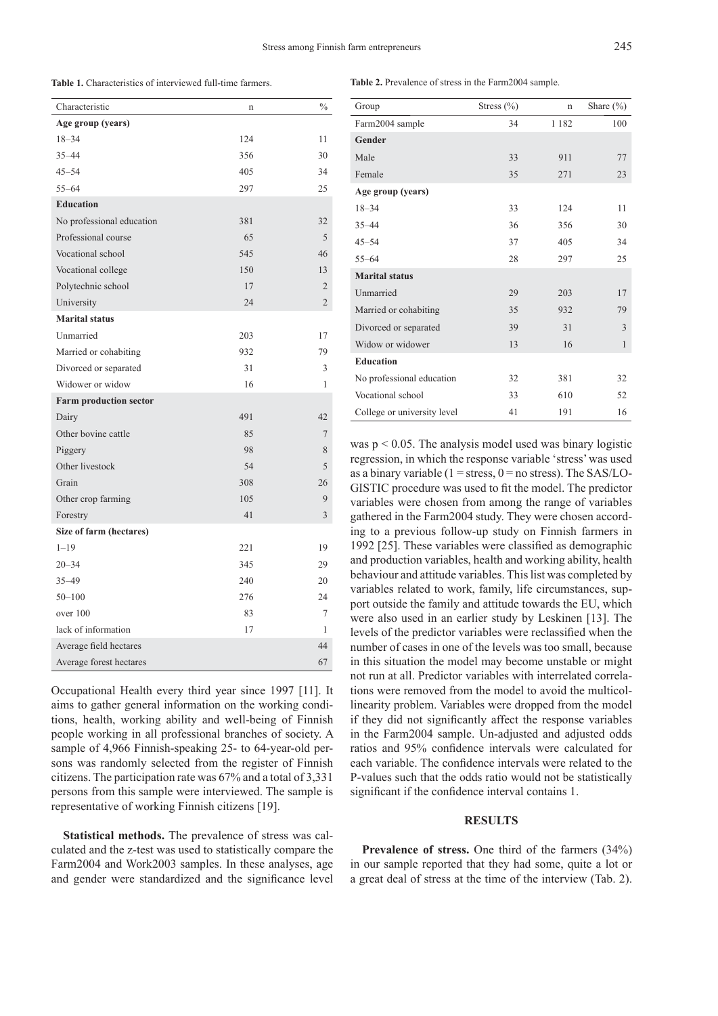**Table 1.** Characteristics of interviewed full-time farmers.

| Characteristic                | n   | $\frac{0}{0}$  |
|-------------------------------|-----|----------------|
| Age group (years)             |     |                |
| $18 - 34$                     | 124 | 11             |
| $35 - 44$                     | 356 | 30             |
| $45 - 54$                     | 405 | 34             |
| $55 - 64$                     | 297 | 25             |
| <b>Education</b>              |     |                |
| No professional education     | 381 | 32             |
| Professional course           | 65  | 5              |
| Vocational school             | 545 | 46             |
| Vocational college            | 150 | 13             |
| Polytechnic school            | 17  | $\overline{2}$ |
| University                    | 24  | $\overline{2}$ |
| <b>Marital status</b>         |     |                |
| Unmarried                     | 203 | 17             |
| Married or cohabiting         | 932 | 79             |
| Divorced or separated         | 31  | 3              |
| Widower or widow              | 16  | 1              |
| <b>Farm production sector</b> |     |                |
| Dairy                         | 491 | 42             |
| Other bovine cattle           | 85  | $\overline{7}$ |
| Piggery                       | 98  | 8              |
| Other livestock               | 54  | 5              |
| Grain                         | 308 | 26             |
| Other crop farming            | 105 | 9              |
| Forestry                      | 41  | 3              |
| Size of farm (hectares)       |     |                |
| $1 - 19$                      | 221 | 19             |
| $20 - 34$                     | 345 | 29             |
| $35 - 49$                     | 240 | 20             |
| $50 - 100$                    | 276 | 24             |
| over 100                      | 83  | 7              |
| lack of information           | 17  | 1              |
| Average field hectares        |     | 44             |
| Average forest hectares       |     | 67             |

Occupational Health every third year since 1997 [11]. It aims to gather general information on the working conditions, health, working ability and well-being of Finnish people working in all professional branches of society. A sample of 4,966 Finnish-speaking 25- to 64-year-old persons was randomly selected from the register of Finnish citizens. The participation rate was 67% and a total of 3,331 persons from this sample were interviewed. The sample is representative of working Finnish citizens [19].

**Statistical methods.** The prevalence of stress was calculated and the z-test was used to statistically compare the Farm2004 and Work2003 samples. In these analyses, age and gender were standardized and the significance level

**Table 2.** Prevalence of stress in the Farm2004 sample.

| Group                       | Stress $(\% )$ | n       | Share $(\% )$ |
|-----------------------------|----------------|---------|---------------|
| Farm2004 sample             | 34             | 1 1 8 2 | 100           |
| Gender                      |                |         |               |
| Male                        | 33             | 911     | 77            |
| Female                      | 35             | 271     | 23            |
| Age group (years)           |                |         |               |
| $18 - 34$                   | 33             | 124     | 11            |
| $35 - 44$                   | 36             | 356     | 30            |
| $45 - 54$                   | 37             | 405     | 34            |
| $55 - 64$                   | 28             | 297     | 25            |
| <b>Marital status</b>       |                |         |               |
| Unmarried                   | 29             | 203     | 17            |
| Married or cohabiting       | 35             | 932     | 79            |
| Divorced or separated       | 39             | 31      | 3             |
| Widow or widower            | 13             | 16      | $\mathbf{1}$  |
| <b>Education</b>            |                |         |               |
| No professional education   | 32             | 381     | 32            |
| Vocational school           | 33             | 610     | 52            |
| College or university level | 41             | 191     | 16            |

was  $p < 0.05$ . The analysis model used was binary logistic regression, in which the response variable 'stress' was used as a binary variable ( $1 =$  stress,  $0 =$  no stress). The SAS/LO-GISTIC procedure was used to fit the model. The predictor variables were chosen from among the range of variables gathered in the Farm2004 study. They were chosen according to a previous follow-up study on Finnish farmers in 1992 [25]. These variables were classified as demographic and production variables, health and working ability, health behaviour and attitude variables. This list was completed by variables related to work, family, life circumstances, support outside the family and attitude towards the EU, which were also used in an earlier study by Leskinen [13]. The levels of the predictor variables were reclassified when the number of cases in one of the levels was too small, because in this situation the model may become unstable or might not run at all. Predictor variables with interrelated correlations were removed from the model to avoid the multicollinearity problem. Variables were dropped from the model if they did not significantly affect the response variables in the Farm2004 sample. Un-adjusted and adjusted odds ratios and 95% confidence intervals were calculated for each variable. The confidence intervals were related to the P-values such that the odds ratio would not be statistically significant if the confidence interval contains 1.

#### **RESULTS**

Prevalence of stress. One third of the farmers (34%) in our sample reported that they had some, quite a lot or a great deal of stress at the time of the interview (Tab. 2).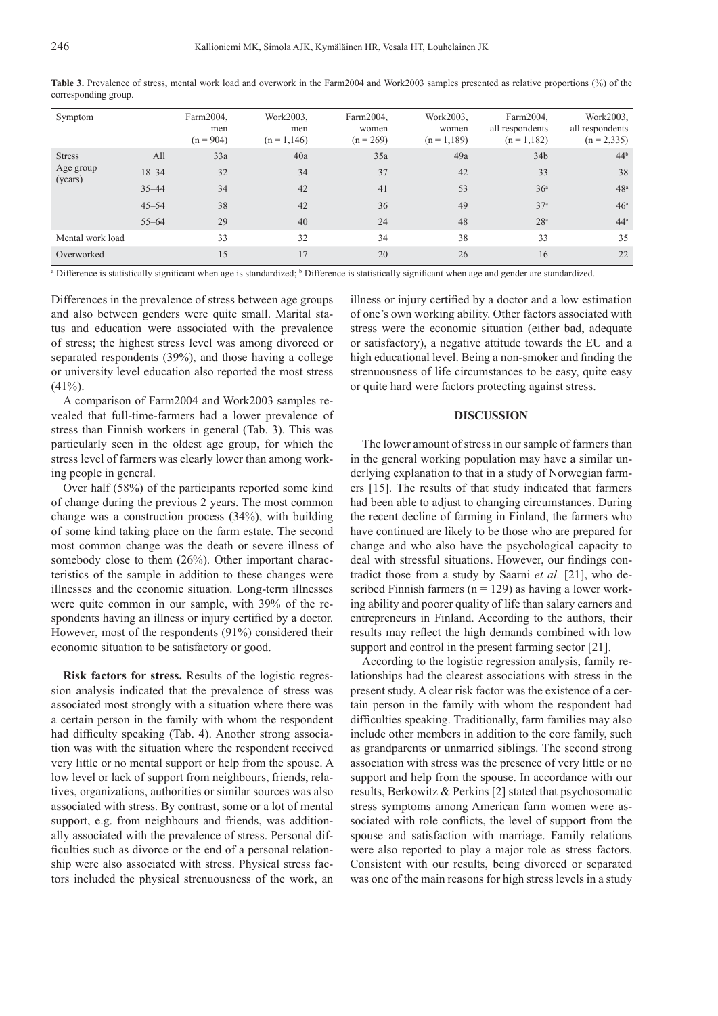| Symptom                               |           | Farm2004,<br>men<br>$(n = 904)$ | Work2003.<br>men<br>$(n = 1, 146)$ | Farm2004,<br>women<br>$(n = 269)$ | Work2003.<br>women<br>$(n = 1, 189)$ | Farm2004,<br>all respondents<br>$(n = 1, 182)$ | Work2003.<br>all respondents<br>$(n = 2, 335)$ |
|---------------------------------------|-----------|---------------------------------|------------------------------------|-----------------------------------|--------------------------------------|------------------------------------------------|------------------------------------------------|
| <b>Stress</b><br>Age group<br>(years) | All       | 33a                             | 40a                                | 35a                               | 49a                                  | 34 <sub>b</sub>                                | 44 <sup>b</sup>                                |
|                                       | $18 - 34$ | 32                              | 34                                 | 37                                | 42                                   | 33                                             | 38                                             |
|                                       | $35 - 44$ | 34                              | 42                                 | 41                                | 53                                   | 36 <sup>a</sup>                                | 48 <sup>a</sup>                                |
|                                       | $45 - 54$ | 38                              | 42                                 | 36                                | 49                                   | 37 <sup>a</sup>                                | 46 <sup>a</sup>                                |
|                                       | $55 - 64$ | 29                              | 40                                 | 24                                | 48                                   | 28 <sup>a</sup>                                | 44 <sup>a</sup>                                |
| Mental work load                      |           | 33                              | 32                                 | 34                                | 38                                   | 33                                             | 35                                             |
| Overworked                            |           | 15                              | 17                                 | 20                                | 26                                   | 16                                             | 22                                             |

**Table 3.** Prevalence of stress, mental work load and overwork in the Farm2004 and Work2003 samples presented as relative proportions (%) of the corresponding group.

<sup>a</sup> Difference is statistically significant when age is standardized; <sup>b</sup> Difference is statistically significant when age and gender are standardized.

Differences in the prevalence of stress between age groups and also between genders were quite small. Marital status and education were associated with the prevalence of stress; the highest stress level was among divorced or separated respondents (39%), and those having a college or university level education also reported the most stress  $(41\%)$ .

A comparison of Farm2004 and Work2003 samples revealed that full-time-farmers had a lower prevalence of stress than Finnish workers in general (Tab. 3). This was particularly seen in the oldest age group, for which the stress level of farmers was clearly lower than among working people in general.

Over half (58%) of the participants reported some kind of change during the previous 2 years. The most common change was a construction process (34%), with building of some kind taking place on the farm estate. The second most common change was the death or severe illness of somebody close to them (26%). Other important characteristics of the sample in addition to these changes were illnesses and the economic situation. Long-term illnesses were quite common in our sample, with 39% of the respondents having an illness or injury certified by a doctor. However, most of the respondents (91%) considered their economic situation to be satisfactory or good.

**Risk factors for stress.** Results of the logistic regression analysis indicated that the prevalence of stress was associated most strongly with a situation where there was a certain person in the family with whom the respondent had difficulty speaking (Tab. 4). Another strong association was with the situation where the respondent received very little or no mental support or help from the spouse. A low level or lack of support from neighbours, friends, relatives, organizations, authorities or similar sources was also associated with stress. By contrast, some or a lot of mental support, e.g. from neighbours and friends, was additionally associated with the prevalence of stress. Personal difficulties such as divorce or the end of a personal relationship were also associated with stress. Physical stress factors included the physical strenuousness of the work, an

illness or injury certified by a doctor and a low estimation of one's own working ability. Other factors associated with stress were the economic situation (either bad, adequate or satisfactory), a negative attitude towards the EU and a high educational level. Being a non-smoker and finding the strenuousness of life circumstances to be easy, quite easy or quite hard were factors protecting against stress.

#### **DISCUSSION**

The lower amount of stress in our sample of farmers than in the general working population may have a similar underlying explanation to that in a study of Norwegian farmers [15]. The results of that study indicated that farmers had been able to adjust to changing circumstances. During the recent decline of farming in Finland, the farmers who have continued are likely to be those who are prepared for change and who also have the psychological capacity to deal with stressful situations. However, our findings contradict those from a study by Saarni *et al.* [21], who described Finnish farmers ( $n = 129$ ) as having a lower working ability and poorer quality of life than salary earners and entrepreneurs in Finland. According to the authors, their results may reflect the high demands combined with low support and control in the present farming sector [21].

According to the logistic regression analysis, family relationships had the clearest associations with stress in the present study. A clear risk factor was the existence of a certain person in the family with whom the respondent had difficulties speaking. Traditionally, farm families may also include other members in addition to the core family, such as grandparents or unmarried siblings. The second strong association with stress was the presence of very little or no support and help from the spouse. In accordance with our results, Berkowitz & Perkins [2] stated that psychosomatic stress symptoms among American farm women were associated with role conflicts, the level of support from the spouse and satisfaction with marriage. Family relations were also reported to play a major role as stress factors. Consistent with our results, being divorced or separated was one of the main reasons for high stress levels in a study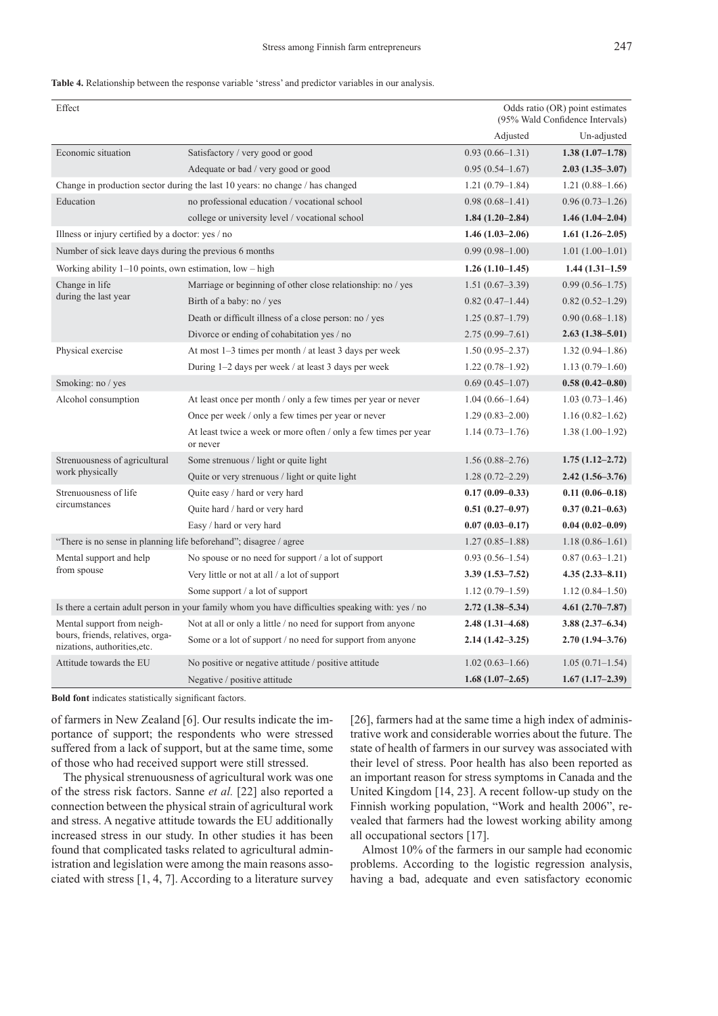#### **Table 4.** Relationship between the response variable 'stress' and predictor variables in our analysis.

| Effect                                                                                            |                                                                               |                     | Odds ratio (OR) point estimates<br>(95% Wald Confidence Intervals) |
|---------------------------------------------------------------------------------------------------|-------------------------------------------------------------------------------|---------------------|--------------------------------------------------------------------|
|                                                                                                   |                                                                               | Adjusted            | Un-adjusted                                                        |
| Economic situation                                                                                | Satisfactory / very good or good                                              | $0.93(0.66 - 1.31)$ | $1.38(1.07-1.78)$                                                  |
|                                                                                                   | Adequate or bad / very good or good                                           | $0.95(0.54 - 1.67)$ | $2.03(1.35 - 3.07)$                                                |
|                                                                                                   | Change in production sector during the last 10 years: no change / has changed | $1.21(0.79-1.84)$   | $1.21(0.88 - 1.66)$                                                |
| Education                                                                                         | no professional education / vocational school                                 | $0.98(0.68 - 1.41)$ | $0.96(0.73 - 1.26)$                                                |
|                                                                                                   | college or university level / vocational school                               | $1.84(1.20-2.84)$   | $1.46(1.04-2.04)$                                                  |
| Illness or injury certified by a doctor: yes / no                                                 |                                                                               | $1.46(1.03-2.06)$   | $1.61(1.26-2.05)$                                                  |
| Number of sick leave days during the previous 6 months                                            |                                                                               | $0.99(0.98 - 1.00)$ | $1.01(1.00-1.01)$                                                  |
| Working ability $1-10$ points, own estimation, $low - high$                                       |                                                                               | $1.26(1.10-1.45)$   | $1.44(1.31-1.59)$                                                  |
| Change in life                                                                                    | Marriage or beginning of other close relationship: no / yes                   | $1.51(0.67-3.39)$   | $0.99(0.56-1.75)$                                                  |
| during the last year                                                                              | Birth of a baby: no / yes                                                     | $0.82(0.47-1.44)$   | $0.82(0.52 - 1.29)$                                                |
|                                                                                                   | Death or difficult illness of a close person: no / yes                        | $1.25(0.87-1.79)$   | $0.90(0.68 - 1.18)$                                                |
|                                                                                                   | Divorce or ending of cohabitation yes / no                                    | 2.75 (0.99–7.61)    | $2.63(1.38 - 5.01)$                                                |
| Physical exercise                                                                                 | At most 1–3 times per month / at least 3 days per week                        | $1.50(0.95 - 2.37)$ | $1.32(0.94 - 1.86)$                                                |
|                                                                                                   | During 1–2 days per week / at least 3 days per week                           | $1.22(0.78-1.92)$   | $1.13(0.79-1.60)$                                                  |
| Smoking: no / yes                                                                                 |                                                                               | $0.69(0.45-1.07)$   | $0.58(0.42 - 0.80)$                                                |
| Alcohol consumption                                                                               | At least once per month / only a few times per year or never                  | $1.04(0.66-1.64)$   | $1.03(0.73 - 1.46)$                                                |
|                                                                                                   | Once per week / only a few times per year or never                            | $1.29(0.83 - 2.00)$ | $1.16(0.82 - 1.62)$                                                |
|                                                                                                   | At least twice a week or more often / only a few times per year<br>or never   | $1.14(0.73 - 1.76)$ | $1.38(1.00-1.92)$                                                  |
| Strenuousness of agricultural                                                                     | Some strenuous / light or quite light                                         | $1.56(0.88 - 2.76)$ | $1.75(1.12 - 2.72)$                                                |
| work physically                                                                                   | Quite or very strenuous / light or quite light                                | $1.28(0.72 - 2.29)$ | $2.42(1.56-3.76)$                                                  |
| Strenuousness of life                                                                             | Quite easy / hard or very hard                                                | $0.17(0.09-0.33)$   | $0.11(0.06 - 0.18)$                                                |
| circumstances                                                                                     | Quite hard / hard or very hard                                                | $0.51(0.27-0.97)$   | $0.37(0.21 - 0.63)$                                                |
|                                                                                                   | Easy / hard or very hard                                                      | $0.07(0.03 - 0.17)$ | $0.04(0.02-0.09)$                                                  |
| "There is no sense in planning life beforehand"; disagree / agree                                 |                                                                               | $1.27(0.85-1.88)$   | $1.18(0.86 - 1.61)$                                                |
| Mental support and help                                                                           | No spouse or no need for support / a lot of support                           | $0.93(0.56 - 1.54)$ | $0.87(0.63 - 1.21)$                                                |
| from spouse                                                                                       | Very little or not at all / a lot of support                                  | $3.39(1.53 - 7.52)$ | $4.35(2.33 - 8.11)$                                                |
|                                                                                                   | Some support / a lot of support                                               | $1.12(0.79-1.59)$   | $1.12(0.84 - 1.50)$                                                |
| Is there a certain adult person in your family whom you have difficulties speaking with: yes / no |                                                                               | $2.72(1.38 - 5.34)$ | $4.61(2.70-7.87)$                                                  |
| Mental support from neigh-                                                                        | Not at all or only a little / no need for support from anyone                 | $2.48(1.31 - 4.68)$ | $3.88(2.37 - 6.34)$                                                |
| bours, friends, relatives, orga-<br>nizations, authorities, etc.                                  | Some or a lot of support / no need for support from anyone                    | $2.14(1.42-3.25)$   | $2.70(1.94 - 3.76)$                                                |
| Attitude towards the EU                                                                           | No positive or negative attitude / positive attitude                          | $1.02(0.63 - 1.66)$ | $1.05(0.71-1.54)$                                                  |
|                                                                                                   | Negative / positive attitude                                                  | $1.68(1.07-2.65)$   | $1.67(1.17-2.39)$                                                  |

**Bold font** indicates statistically significant factors.

of farmers in New Zealand [6]. Our results indicate the importance of support; the respondents who were stressed suffered from a lack of support, but at the same time, some of those who had received support were still stressed.

The physical strenuousness of agricultural work was one of the stress risk factors. Sanne *et al.* [22] also reported a connection between the physical strain of agricultural work and stress. A negative attitude towards the EU additionally increased stress in our study. In other studies it has been found that complicated tasks related to agricultural administration and legislation were among the main reasons associated with stress [1, 4, 7]. According to a literature survey [26], farmers had at the same time a high index of administrative work and considerable worries about the future. The state of health of farmers in our survey was associated with their level of stress. Poor health has also been reported as an important reason for stress symptoms in Canada and the United Kingdom [14, 23]. A recent follow-up study on the Finnish working population, "Work and health 2006", revealed that farmers had the lowest working ability among all occupational sectors [17].

Almost 10% of the farmers in our sample had economic problems. According to the logistic regression analysis, having a bad, adequate and even satisfactory economic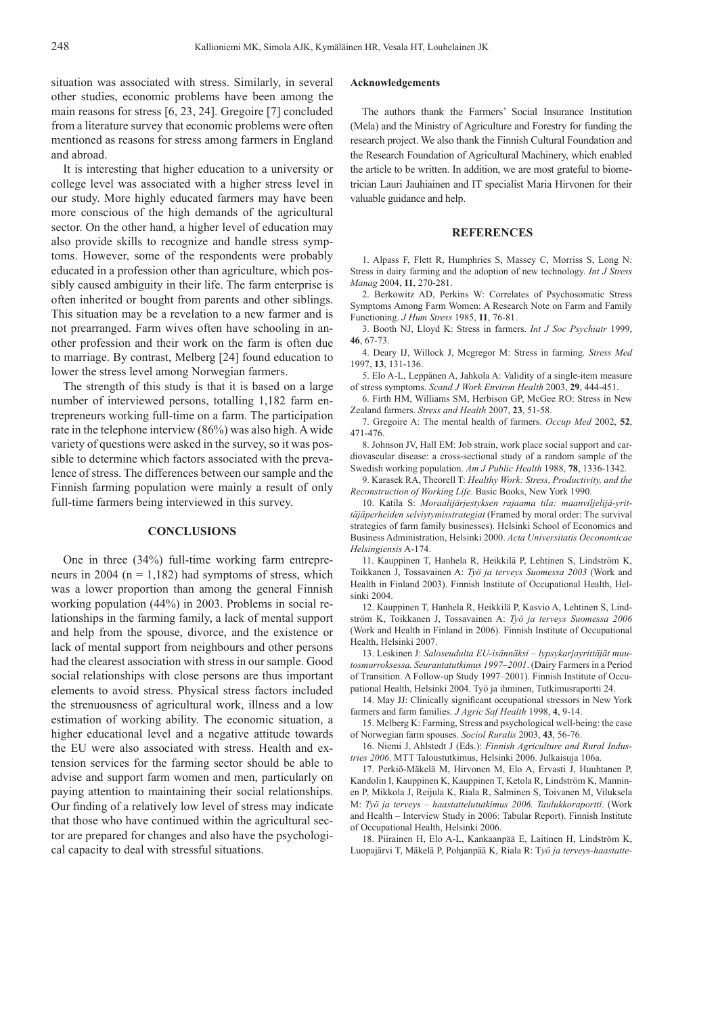situation was associated with stress. Similarly, in several other studies, economic problems have been among the main reasons for stress [6, 23, 24]. Gregoire [7] concluded from a literature survey that economic problems were often mentioned as reasons for stress among farmers in England and abroad.

It is interesting that higher education to a university or college level was associated with a higher stress level in our study. More highly educated farmers may have been more conscious of the high demands of the agricultural sector. On the other hand, a higher level of education may also provide skills to recognize and handle stress symptoms. However, some of the respondents were probably educated in a profession other than agriculture, which possibly caused ambiguity in their life. The farm enterprise is often inherited or bought from parents and other siblings. This situation may be a revelation to a new farmer and is not prearranged. Farm wives often have schooling in another profession and their work on the farm is often due to marriage. By contrast, Melberg [24] found education to lower the stress level among Norwegian farmers.

The strength of this study is that it is based on a large number of interviewed persons, totalling 1,182 farm entrepreneurs working full-time on a farm. The participation rate in the telephone interview (86%) was also high. A wide variety of questions were asked in the survey, so it was possible to determine which factors associated with the prevalence of stress. The differences between our sample and the Finnish farming population were mainly a result of only full-time farmers being interviewed in this survey.

#### **CONCLUSIONS**

One in three (34%) full-time working farm entrepreneurs in 2004 ( $n = 1,182$ ) had symptoms of stress, which was a lower proportion than among the general Finnish working population (44%) in 2003. Problems in social relationships in the farming family, a lack of mental support and help from the spouse, divorce, and the existence or lack of mental support from neighbours and other persons had the clearest association with stress in our sample. Good social relationships with close persons are thus important elements to avoid stress. Physical stress factors included the strenuousness of agricultural work, illness and a low estimation of working ability. The economic situation, a higher educational level and a negative attitude towards the EU were also associated with stress. Health and extension services for the farming sector should be able to advise and support farm women and men, particularly on paying attention to maintaining their social relationships. Our finding of a relatively low level of stress may indicate that those who have continued within the agricultural sector are prepared for changes and also have the psychological capacity to deal with stressful situations.

#### **Acknowledgements**

The authors thank the Farmers' Social Insurance Institution (Mela) and the Ministry of Agriculture and Forestry for funding the research project. We also thank the Finnish Cultural Foundation and the Research Foundation of Agricultural Machinery, which enabled the article to be written. In addition, we are most grateful to biometrician Lauri Jauhiainen and IT specialist Maria Hirvonen for their valuable guidance and help.

#### **REFERENCES**

1. Alpass F, Flett R, Humphries S, Massey C, Morriss S, Long N: Stress in dairy farming and the adoption of new technology. *Int J Stress Manag* 2004, **11**, 270-281.

2. Berkowitz AD, Perkins W: Correlates of Psychosomatic Stress Symptoms Among Farm Women: A Research Note on Farm and Family Functioning. *J Hum Stress* 1985, **11**, 76-81.

3. Booth NJ, Lloyd K: Stress in farmers. *Int J Soc Psychiatr* 1999, **46**, 67-73.

4. Deary IJ, Willock J, Mcgregor M: Stress in farming. *Stress Med* 1997, **13**, 131-136.

5. Elo A-L, Leppänen A, Jahkola A: Validity of a single-item measure of stress symptoms. *Scand J Work Environ Health* 2003, **29**, 444-451.

6. Firth HM, Williams SM, Herbison GP, McGee RO: Stress in New Zealand farmers. *Stress and Health* 2007, **23**, 51-58.

7. Gregoire A: The mental health of farmers. *Occup Med* 2002, **52**, 471-476.

8. Johnson JV, Hall EM: Job strain, work place social support and cardiovascular disease: a cross-sectional study of a random sample of the Swedish working population. *Am J Public Health* 1988, **78**, 1336-1342.

9. Karasek RA, Theorell T: *Healthy Work: Stress, Productivity, and the Reconstruction of Working Life*. Basic Books, New York 1990.

10. Katila S: *Moraalijärjestyksen rajaama tila: maanviljelijä-yrittäjäperheiden selviytymisstrategiat* (Framed by moral order: The survival strategies of farm family businesses). Helsinki School of Economics and Business Administration, Helsinki 2000. *Acta Universitatis Oeconomicae Helsingiensis* A-174.

11. Kauppinen T, Hanhela R, Heikkilä P, Lehtinen S, Lindström K, Toikkanen J, Tossavainen A: *Työ ja terveys Suomessa 2003* (Work and Health in Finland 2003). Finnish Institute of Occupational Health, Helsinki 2004.

12. Kauppinen T, Hanhela R, Heikkilä P, Kasvio A, Lehtinen S, Lindström K, Toikkanen J, Tossavainen A: *Työ ja terveys Suomessa 2006*  (Work and Health in Finland in 2006). Finnish Institute of Occupational Health, Helsinki 2007.

13. Leskinen J: *Saloseudulta EU-isännäksi – lypsykarjayrittäjät muutosmurroksessa. Seurantatutkimus 1997–2001*. (Dairy Farmers in a Period of Transition. A Follow-up Study 1997–2001). Finnish Institute of Occupational Health, Helsinki 2004. Työ ja ihminen, Tutkimusraportti 24.

14. May JJ: Clinically significant occupational stressors in New York farmers and farm families. *J Agric Saf Health* 1998, **4**, 9-14.

15. Melberg K: Farming, Stress and psychological well-being: the case of Norwegian farm spouses. *Sociol Ruralis* 2003, **43**, 56-76.

16. Niemi J, Ahlstedt J (Eds.): *Finnish Agriculture and Rural Industries 2006*. MTT Taloustutkimus, Helsinki 2006. Julkaisuja 106a.

17. Perkiö-Mäkelä M, Hirvonen M, Elo A, Ervasti J, Huuhtanen P, Kandolin I, Kauppinen K, Kauppinen T, Ketola R, Lindström K, Manninen P, Mikkola J, Reijula K, Riala R, Salminen S, Toivanen M, Viluksela M: *Työ ja terveys – haastattelututkimus 2006. Taulukkoraportti*. (Work and Health – Interview Study in 2006: Tabular Report). Finnish Institute of Occupational Health, Helsinki 2006.

18. Piirainen H, Elo A-L, Kankaanpää E, Laitinen H, Lindström K, Luopajärvi T, Mäkelä P, Pohjanpää K, Riala R: T*yö ja terveys-haastatte-*